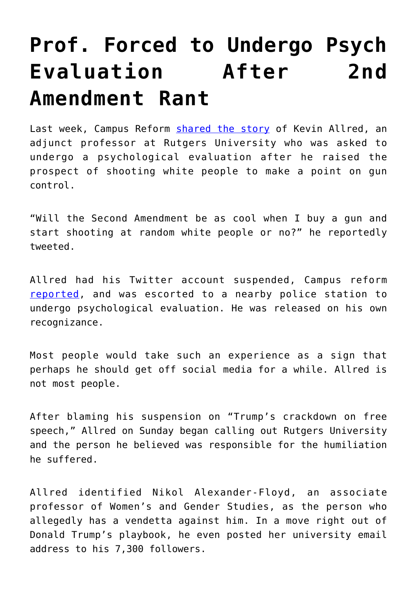## **[Prof. Forced to Undergo Psych](https://intellectualtakeout.org/2016/11/prof-forced-to-undergo-psych-evaluation-after-2nd-amendment-rant/) [Evaluation After 2nd](https://intellectualtakeout.org/2016/11/prof-forced-to-undergo-psych-evaluation-after-2nd-amendment-rant/) [Amendment Rant](https://intellectualtakeout.org/2016/11/prof-forced-to-undergo-psych-evaluation-after-2nd-amendment-rant/)**

Last week, Campus Reform [shared the story](http://www.campusreform.org/?ID=8415) of Kevin Allred, an adjunct professor at Rutgers University who was asked to undergo a psychological evaluation after he raised the prospect of shooting white people to make a point on gun control.

"Will the Second Amendment be as cool when I buy a gun and start shooting at random white people or no?" he reportedly tweeted.

Allred had his Twitter account suspended, Campus reform [reported](http://www.campusreform.org/?ID=8415), and was escorted to a nearby police station to undergo psychological evaluation. He was released on his own recognizance.

Most people would take such an experience as a sign that perhaps he should get off social media for a while. Allred is not most people.

After blaming his suspension on "Trump's crackdown on free speech," Allred on Sunday began calling out Rutgers University and the person he believed was responsible for the humiliation he suffered.

Allred identified Nikol Alexander-Floyd, an associate professor of Women's and Gender Studies, as the person who allegedly has a vendetta against him. In a move right out of Donald Trump's playbook, he even posted her university email address to his 7,300 followers.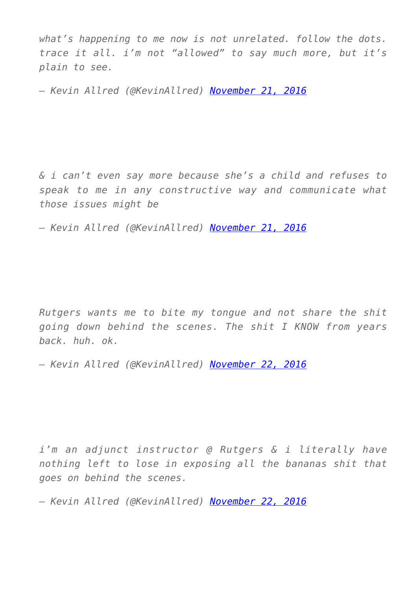*what's happening to me now is not unrelated. follow the dots. trace it all. i'm not "allowed" to say much more, but it's plain to see.*

*— Kevin Allred (@KevinAllred) [November 21, 2016](https://twitter.com/KevinAllred/status/800847870735826944)*

*& i can't even say more because she's a child and refuses to speak to me in any constructive way and communicate what those issues might be*

*— Kevin Allred (@KevinAllred) [November 21, 2016](https://twitter.com/KevinAllred/status/800850265083670528)*

*Rutgers wants me to bite my tongue and not share the shit going down behind the scenes. The shit I KNOW from years back. huh. ok.*

*— Kevin Allred (@KevinAllred) [November 22, 2016](https://twitter.com/KevinAllred/status/800863047363547136)*

*i'm an adjunct instructor @ Rutgers & i literally have nothing left to lose in exposing all the bananas shit that goes on behind the scenes.*

*— Kevin Allred (@KevinAllred) [November 22, 2016](https://twitter.com/KevinAllred/status/800864866877599746)*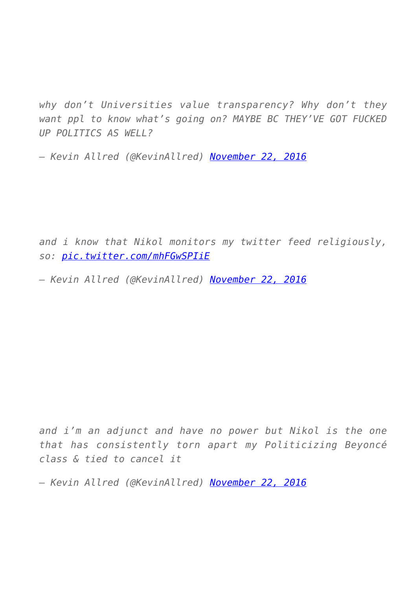*why don't Universities value transparency? Why don't they want ppl to know what's going on? MAYBE BC THEY'VE GOT FUCKED UP POLITICS AS WELL?*

*— Kevin Allred (@KevinAllred) [November 22, 2016](https://twitter.com/KevinAllred/status/800864310604038148)*

*and i know that Nikol monitors my twitter feed religiously, so: [pic.twitter.com/mhFGwSPIiE](https://twitter.com/KevinAllred/status/800872216879513600/photo/1)*

*— Kevin Allred (@KevinAllred) [November 22, 2016](https://twitter.com/KevinAllred/status/800872216879513600)*

*and i'm an adjunct and have no power but Nikol is the one that has consistently torn apart my Politicizing Beyoncé class & tied to cancel it*

*— Kevin Allred (@KevinAllred) [November 22, 2016](https://twitter.com/KevinAllred/status/800920501690437632)*